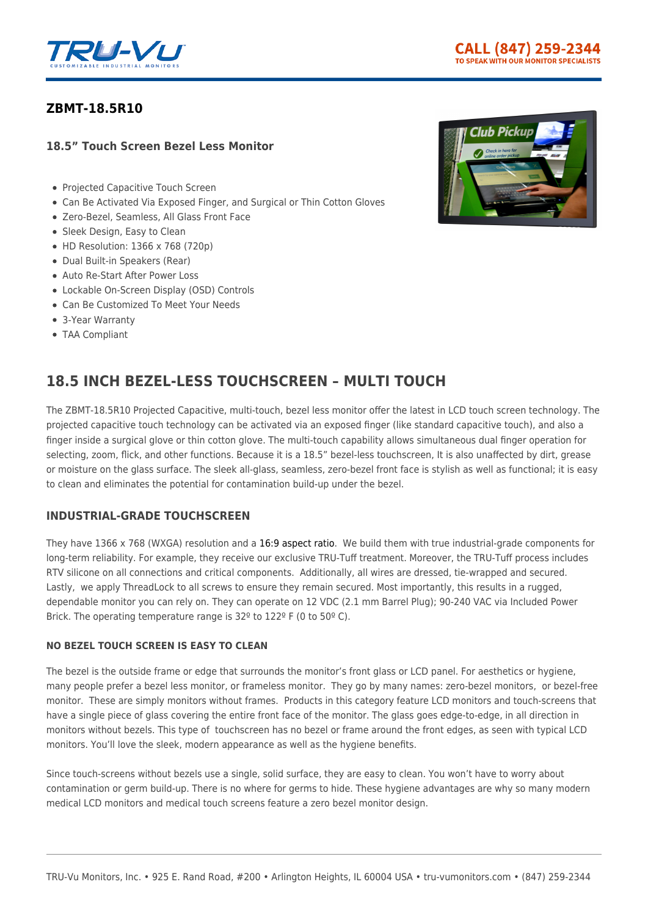

## **[ZBMT-18.5R10](https://tru-vumonitors.com/products/zbmt-18-5r/)**

### **18.5" Touch Screen Bezel Less Monitor**

- Projected Capacitive Touch Screen
- Can Be Activated Via Exposed Finger, and Surgical or Thin Cotton Gloves
- Zero-Bezel, Seamless, All Glass Front Face
- Sleek Design, Easy to Clean
- HD Resolution: 1366 x 768 (720p)
- Dual Built-in Speakers (Rear)
- Auto Re-Start After Power Loss
- Lockable On-Screen Display (OSD) Controls
- Can Be Customized To Meet Your Needs
- 3-Year Warranty
- TAA Compliant



# **18.5 INCH BEZEL-LESS TOUCHSCREEN – MULTI TOUCH**

The ZBMT-18.5R10 Projected Capacitive, multi-touch, bezel less monitor offer the latest in LCD touch screen technology. The projected capacitive touch technology can be activated via an exposed finger (like standard capacitive touch), and also a finger inside a surgical glove or thin cotton glove. The multi-touch capability allows simultaneous dual finger operation for selecting, zoom, flick, and other functions. Because it is a 18.5" bezel-less touchscreen, It is also unaffected by dirt, grease or moisture on the glass surface. The sleek all-glass, seamless, zero-bezel front face is stylish as well as functional; it is easy to clean and eliminates the potential for contamination build-up under the bezel.

## **INDUSTRIAL-GRADE TOUCHSCREEN**

They have 1366 x 768 (WXGA) resolution and a [16:9 aspect ratio](https://tru-vumonitors.com/16by9-monitors/). We build them with true industrial-grade components for long-term reliability. For example, they receive our exclusive TRU-Tuff treatment. Moreover, the TRU-Tuff process includes RTV silicone on all connections and critical components. Additionally, all wires are dressed, tie-wrapped and secured. Lastly, we apply ThreadLock to all screws to ensure they remain secured. Most importantly, this results in a rugged, dependable monitor you can rely on. They can operate on 12 VDC (2.1 mm Barrel Plug); 90-240 VAC via Included Power Brick. The operating temperature range is 32<sup>°</sup> to 122<sup>°</sup> F (0 to 50<sup>°</sup> C).

#### **NO BEZEL TOUCH SCREEN IS EASY TO CLEAN**

The bezel is the outside frame or edge that surrounds the monitor's front glass or LCD panel. For aesthetics or hygiene, many people prefer a bezel less monitor, or frameless monitor. They go by many names: zero-bezel monitors, or bezel-free monitor. These are simply monitors without frames. Products in this category feature LCD monitors and touch-screens that have a single piece of glass covering the entire front face of the monitor. The glass goes edge-to-edge, in all direction in monitors without bezels. This type of touchscreen has no bezel or frame around the front edges, as seen with typical LCD monitors. You'll love the sleek, modern appearance as well as the hygiene benefits.

Since touch-screens without bezels use a single, solid surface, they are easy to clean. You won't have to worry about contamination or germ build-up. There is no where for germs to hide. These hygiene advantages are why so many modern medical LCD monitors and medical touch screens feature a zero bezel monitor design.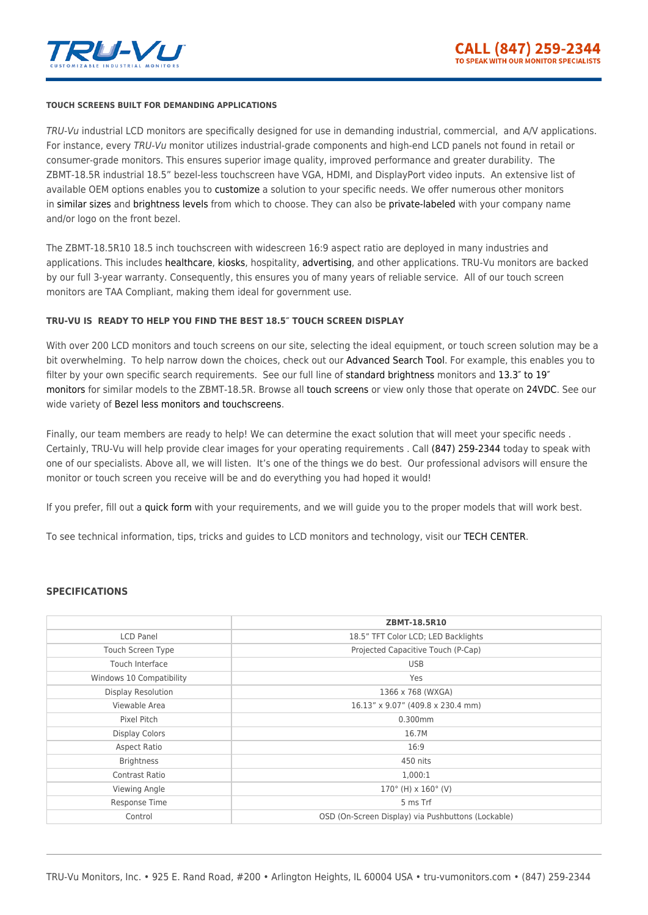

#### **TOUCH SCREENS BUILT FOR DEMANDING APPLICATIONS**

TRU-Vu industrial LCD monitors are specifically designed for use in demanding industrial, commercial, and A/V applications. For instance, every TRU-Vu monitor utilizes industrial-grade components and high-end LCD panels not found in retail or consumer-grade monitors. This ensures superior image quality, improved performance and greater durability. The ZBMT-18.5R industrial 18.5" bezel-less touchscreen have VGA, HDMI, and DisplayPort video inputs. An extensive list of available OEM options enables you to [customize](https://tru-vumonitors.com/custom-monitors/) a solution to your specific needs. We offer numerous other monitors in [similar sizes](https://tru-vumonitors.com/13in-to-19in-monitors/) and [brightness levels](https://tru-vumonitors.com/standard-brightness-monitors/) from which to choose. They can also be [private-labeled](https://tru-vumonitors.com/private-label-monitors/) with your company name and/or logo on the front bezel.

The ZBMT-18.5R10 18.5 inch touchscreen with widescreen 16:9 aspect ratio are deployed in many industries and applications. This includes [healthcare](https://tru-vumonitors.com/medical-displays/), [kiosks](https://tru-vumonitors.com/industries/kiosks-vending/), hospitality, [advertising](https://tru-vumonitors.com/industries/digital-signage/), and other applications. TRU-Vu monitors are backed by our full 3-year warranty. Consequently, this ensures you of many years of reliable service. All of our touch screen monitors are TAA Compliant, making them ideal for government use.

#### **TRU-VU IS READY TO HELP YOU FIND THE BEST 18.5″ TOUCH SCREEN DISPLAY**

With over 200 LCD monitors and touch screens on our site, selecting the ideal equipment, or touch screen solution may be a bit overwhelming. To help narrow down the choices, check out our [Advanced Search Tool.](https://tru-vumonitors.com/products/) For example, this enables you to filter by your own specific search requirements. See our full line of [standard brightness](https://tru-vumonitors.com/standard-brightness-monitors/) monitors and 13.3" to 19" [monitors](https://tru-vumonitors.com/13in-to-19in-monitors/) for similar models to the ZBMT-18.5R. Browse all [touch screens](https://tru-vumonitors.com/touch-screen-monitors/) or view only those that operate on [24VDC.](https://tru-vumonitors.com/24vdc-monitors/) See our wide variety of [Bezel less monitors and touchscreens.](https://tru-vumonitors.com/zero-bezel-monitors/)

Finally, our team members are ready to help! We can determine the exact solution that will meet your specific needs. Certainly, TRU-Vu will help provide clear images for your operating requirements . Call [\(847\) 259-2344](#page--1-0) today to speak with one of our specialists. Above all, we will listen. It's one of the things we do best. Our professional advisors will ensure the monitor or touch screen you receive will be and do everything you had hoped it would!

If you prefer, fill out a [quick form](https://tru-vumonitors.com/request-quote/) with your requirements, and we will guide you to the proper models that will work best.

To see technical information, tips, tricks and guides to LCD monitors and technology, visit our [TECH CENTER](https://tru-vumonitors.com/tech-center/).

#### **SPECIFICATIONS**

|                           | ZBMT-18.5R10                                       |
|---------------------------|----------------------------------------------------|
| <b>LCD Panel</b>          | 18.5" TFT Color LCD; LED Backlights                |
| Touch Screen Type         | Projected Capacitive Touch (P-Cap)                 |
| Touch Interface           | <b>USB</b>                                         |
| Windows 10 Compatibility  | Yes                                                |
| <b>Display Resolution</b> | 1366 x 768 (WXGA)                                  |
| Viewable Area             | 16.13" x 9.07" (409.8 x 230.4 mm)                  |
| Pixel Pitch               | 0.300mm                                            |
| <b>Display Colors</b>     | 16.7M                                              |
| Aspect Ratio              | 16:9                                               |
| <b>Brightness</b>         | 450 nits                                           |
| Contrast Ratio            | 1,000:1                                            |
| Viewing Angle             | $170^{\circ}$ (H) x $160^{\circ}$ (V)              |
| Response Time             | 5 ms Trf                                           |
| Control                   | OSD (On-Screen Display) via Pushbuttons (Lockable) |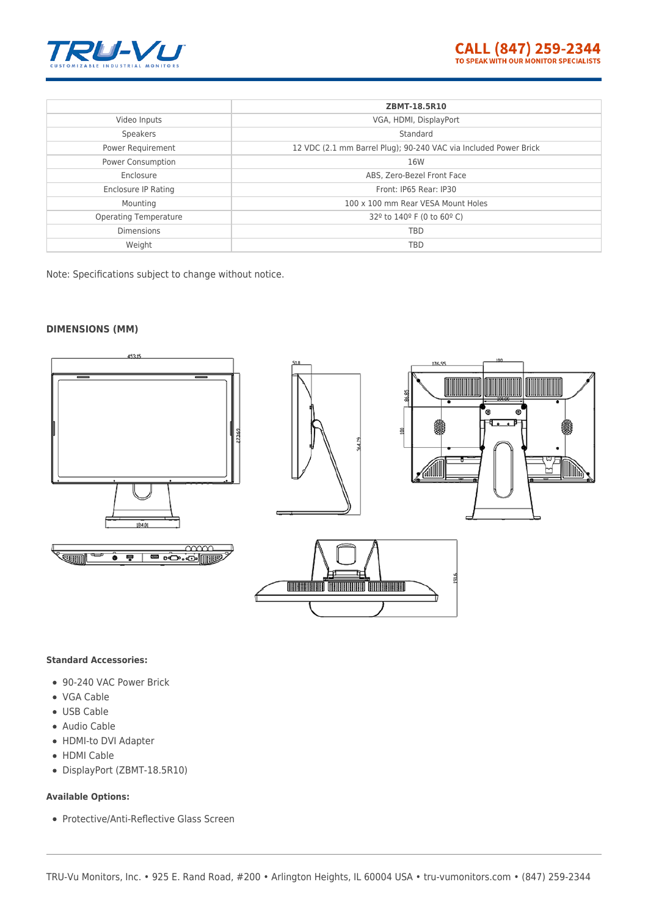

|                              | ZBMT-18.5R10                                                     |
|------------------------------|------------------------------------------------------------------|
| Video Inputs                 | VGA, HDMI, DisplayPort                                           |
|                              |                                                                  |
| Speakers                     | Standard                                                         |
| Power Requirement            | 12 VDC (2.1 mm Barrel Plug); 90-240 VAC via Included Power Brick |
| Power Consumption            | 16W                                                              |
| Enclosure                    | ABS, Zero-Bezel Front Face                                       |
| Enclosure IP Rating          | Front: IP65 Rear: IP30                                           |
| Mounting                     | 100 x 100 mm Rear VESA Mount Holes                               |
| <b>Operating Temperature</b> | 32 <sup>°</sup> to 140 <sup>°</sup> F (0 to 60 <sup>°</sup> C)   |
| <b>Dimensions</b>            | <b>TBD</b>                                                       |
| Weight                       | <b>TBD</b>                                                       |

Note: Specifications subject to change without notice.

#### **DIMENSIONS (MM)**



#### **Standard Accessories:**

- 90-240 VAC Power Brick
- VGA Cable
- USB Cable
- Audio Cable
- HDMI-to DVI Adapter
- HDMI Cable
- DisplayPort (ZBMT-18.5R10)

#### **Available Options:**

Protective/Anti-Reflective Glass Screen